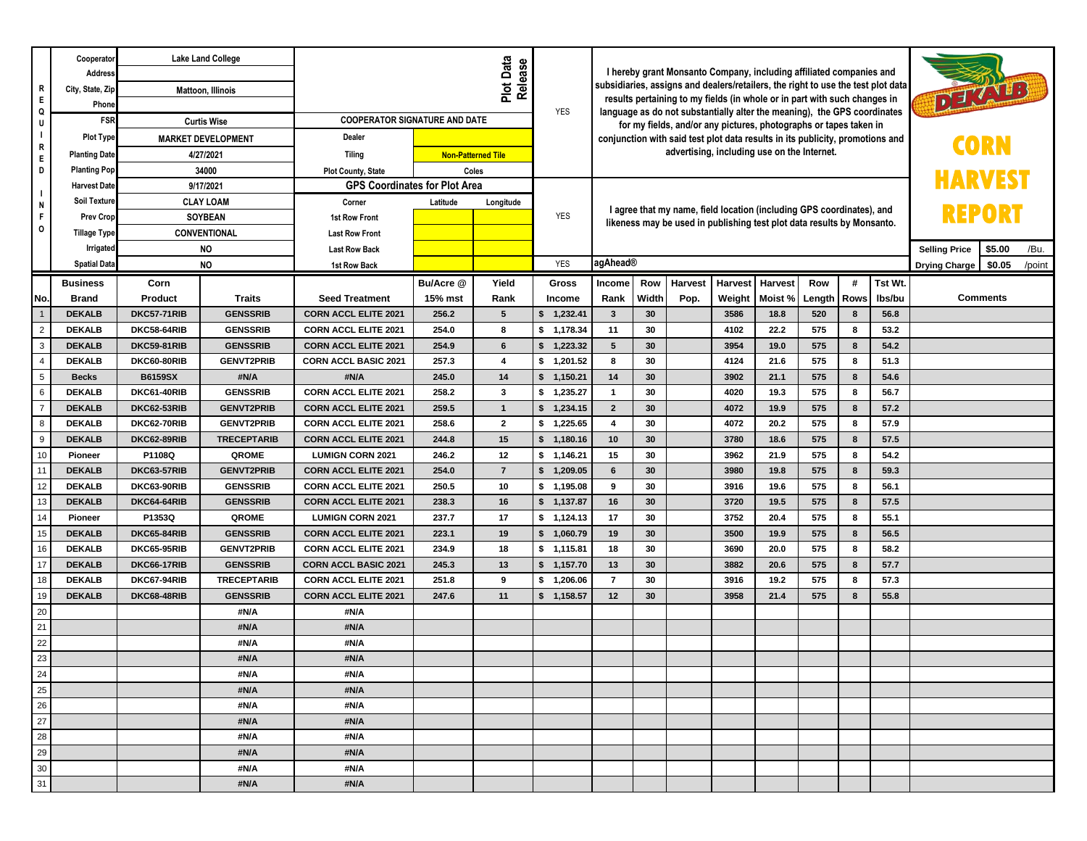| R                   | Cooperator<br>Address<br>City, State, Zip | <b>Lake Land College</b><br>Mattoon, Illinois |                                    |                                                            |                | I hereby grant Monsanto Company, including affiliated companies and<br>subsidiaries, assigns and dealers/retailers, the right to use the test plot data<br>DETAILS<br>results pertaining to my fields (in whole or in part with such changes in |                                                                               |                                                                                                                                               |          |                                                                        |                |                      |            |        |              |                      |                 |        |
|---------------------|-------------------------------------------|-----------------------------------------------|------------------------------------|------------------------------------------------------------|----------------|-------------------------------------------------------------------------------------------------------------------------------------------------------------------------------------------------------------------------------------------------|-------------------------------------------------------------------------------|-----------------------------------------------------------------------------------------------------------------------------------------------|----------|------------------------------------------------------------------------|----------------|----------------------|------------|--------|--------------|----------------------|-----------------|--------|
| E.<br>Q             | Phone                                     |                                               |                                    |                                                            | <b>YES</b>     |                                                                                                                                                                                                                                                 |                                                                               |                                                                                                                                               |          |                                                                        |                |                      |            |        |              |                      |                 |        |
| U                   | <b>FSR</b>                                | <b>Curtis Wise</b>                            |                                    | <b>COOPERATOR SIGNATURE AND DATE</b>                       |                |                                                                                                                                                                                                                                                 |                                                                               | language as do not substantially alter the meaning), the GPS coordinates<br>for my fields, and/or any pictures, photographs or tapes taken in |          |                                                                        |                |                      |            |        |              |                      |                 |        |
| $\mathbf{I}$        | <b>Plot Type</b>                          | <b>MARKET DEVELOPMENT</b>                     |                                    | Dealer                                                     |                |                                                                                                                                                                                                                                                 | conjunction with said test plot data results in its publicity, promotions and |                                                                                                                                               |          |                                                                        |                |                      |            |        |              |                      |                 |        |
| R<br>Ε.             | <b>Planting Date</b>                      | 4/27/2021                                     |                                    | <b>Tiling</b>                                              |                | <b>Non-Patterned Tile</b>                                                                                                                                                                                                                       |                                                                               |                                                                                                                                               |          | advertising, including use on the Internet.                            |                |                      |            |        |              |                      |                 |        |
| D                   | <b>Planting Pop</b>                       |                                               | 34000                              | <b>Plot County, State</b>                                  |                | Coles                                                                                                                                                                                                                                           |                                                                               |                                                                                                                                               |          |                                                                        |                |                      |            |        |              |                      |                 |        |
| $\overline{1}$      | <b>Harvest Date</b>                       |                                               | 9/17/2021                          | <b>GPS Coordinates for Plot Area</b>                       |                |                                                                                                                                                                                                                                                 |                                                                               |                                                                                                                                               |          |                                                                        |                |                      |            |        |              |                      |                 |        |
| N                   | Soil Texture                              |                                               | <b>CLAY LOAM</b>                   | Corner                                                     | Latitude       | Longitude                                                                                                                                                                                                                                       |                                                                               |                                                                                                                                               |          | I agree that my name, field location (including GPS coordinates), and  |                |                      |            |        |              |                      |                 |        |
| F.<br>0             | <b>Prev Crop</b>                          |                                               | <b>SOYBEAN</b>                     | 1st Row Front                                              |                |                                                                                                                                                                                                                                                 | <b>YES</b>                                                                    |                                                                                                                                               |          | likeness may be used in publishing test plot data results by Monsanto. | REPORI         |                      |            |        |              |                      |                 |        |
|                     | <b>Tillage Type</b>                       |                                               | <b>CONVENTIONAL</b>                | <b>Last Row Front</b>                                      |                |                                                                                                                                                                                                                                                 |                                                                               |                                                                                                                                               |          |                                                                        |                |                      |            |        |              |                      |                 |        |
|                     | Irrigated                                 | <b>NO</b><br><b>NO</b>                        |                                    | <b>Last Row Back</b>                                       |                |                                                                                                                                                                                                                                                 |                                                                               |                                                                                                                                               |          |                                                                        |                | <b>Selling Price</b> | \$5.00     | /Bu.   |              |                      |                 |        |
|                     | <b>Spatial Data</b>                       |                                               |                                    | 1st Row Back                                               |                |                                                                                                                                                                                                                                                 | <b>YES</b>                                                                    | agAhead®                                                                                                                                      |          |                                                                        |                |                      |            |        |              | <b>Drying Charge</b> | \$0.05          | /point |
|                     | <b>Business</b>                           | Corn                                          |                                    |                                                            | Bu/Acre @      | Yield                                                                                                                                                                                                                                           | Gross                                                                         | <b>Income</b>                                                                                                                                 | Row      | <b>Harvest</b>                                                         | <b>Harvest</b> | <b>Harvest</b>       | Row        | #      | Tst Wt.      |                      |                 |        |
| No.                 | <b>Brand</b>                              | Product                                       | <b>Traits</b>                      | <b>Seed Treatment</b>                                      | 15% mst        | Rank                                                                                                                                                                                                                                            | Income                                                                        | Rank                                                                                                                                          | Width    | Pop.                                                                   | Weight         | Moist %              | Length     | Rows   | Ibs/bu       |                      | <b>Comments</b> |        |
| -1                  | <b>DEKALB</b>                             | <b>DKC57-71RIB</b>                            | <b>GENSSRIB</b>                    | <b>CORN ACCL ELITE 2021</b>                                | 256.2          | 5                                                                                                                                                                                                                                               | \$<br>1,232.41                                                                | $\mathbf{3}$                                                                                                                                  | 30       |                                                                        | 3586           | 18.8                 | 520        | 8      | 56.8         |                      |                 |        |
| $\overline{2}$<br>3 | <b>DEKALB</b><br><b>DEKALB</b>            | DKC58-64RIB<br><b>DKC59-81RIB</b>             | <b>GENSSRIB</b><br><b>GENSSRIB</b> | <b>CORN ACCL ELITE 2021</b><br><b>CORN ACCL ELITE 2021</b> | 254.0<br>254.9 | 8<br>$6\phantom{a}$                                                                                                                                                                                                                             | \$1,178.34<br>\$ 1,223.32                                                     | 11<br>$5\phantom{1}$                                                                                                                          | 30<br>30 |                                                                        | 4102<br>3954   | 22.2<br>19.0         | 575<br>575 | 8<br>8 | 53.2<br>54.2 |                      |                 |        |
| 4                   | <b>DEKALB</b>                             | DKC60-80RIB                                   | <b>GENVT2PRIB</b>                  | <b>CORN ACCL BASIC 2021</b>                                | 257.3          | $\overline{4}$                                                                                                                                                                                                                                  | \$1,201.52                                                                    | 8                                                                                                                                             | 30       |                                                                        | 4124           | 21.6                 | 575        | 8      | 51.3         |                      |                 |        |
| 5                   | <b>Becks</b>                              | <b>B6159SX</b>                                | #N/A                               | #N/A                                                       | 245.0          | 14                                                                                                                                                                                                                                              | 1,150.21<br>\$                                                                | 14                                                                                                                                            | 30       |                                                                        | 3902           | 21.1                 | 575        | 8      | 54.6         |                      |                 |        |
| 6                   | <b>DEKALB</b>                             | DKC61-40RIB                                   | <b>GENSSRIB</b>                    | <b>CORN ACCL ELITE 2021</b>                                | 258.2          | $\mathbf{3}$                                                                                                                                                                                                                                    | \$<br>1,235.27                                                                | $\overline{1}$                                                                                                                                | 30       |                                                                        | 4020           | 19.3                 | 575        | 8      | 56.7         |                      |                 |        |
| $\overline{7}$      | <b>DEKALB</b>                             | DKC62-53RIB                                   | <b>GENVT2PRIB</b>                  | <b>CORN ACCL ELITE 2021</b>                                | 259.5          | $\mathbf{1}$                                                                                                                                                                                                                                    | 1,234.15<br>\$                                                                | $\overline{2}$                                                                                                                                | 30       |                                                                        | 4072           | 19.9                 | 575        | 8      | 57.2         |                      |                 |        |
| 8                   | <b>DEKALB</b>                             | DKC62-70RIB                                   | <b>GENVT2PRIB</b>                  | <b>CORN ACCL ELITE 2021</b>                                | 258.6          | $\mathbf{2}$                                                                                                                                                                                                                                    | \$1,225.65                                                                    | $\overline{4}$                                                                                                                                | 30       |                                                                        | 4072           | 20.2                 | 575        | 8      | 57.9         |                      |                 |        |
| 9                   | <b>DEKALB</b>                             | DKC62-89RIB                                   | <b>TRECEPTARIB</b>                 | <b>CORN ACCL ELITE 2021</b>                                | 244.8          | 15                                                                                                                                                                                                                                              | 1,180.16<br>\$                                                                | 10                                                                                                                                            | 30       |                                                                        | 3780           | 18.6                 | 575        | 8      | 57.5         |                      |                 |        |
| 10                  | Pioneer                                   | P1108Q                                        | QROME                              | <b>LUMIGN CORN 2021</b>                                    | 246.2          | 12                                                                                                                                                                                                                                              | \$1,146.21                                                                    | 15                                                                                                                                            | 30       |                                                                        | 3962           | 21.9                 | 575        | 8      | 54.2         |                      |                 |        |
| 11                  | <b>DEKALB</b>                             | DKC63-57RIB                                   | <b>GENVT2PRIB</b>                  | <b>CORN ACCL ELITE 2021</b>                                | 254.0          | $\overline{7}$                                                                                                                                                                                                                                  | \$<br>1,209.05                                                                | 6                                                                                                                                             | 30       |                                                                        | 3980           | 19.8                 | 575        | 8      | 59.3         |                      |                 |        |
| 12                  | <b>DEKALB</b>                             | DKC63-90RIB                                   | <b>GENSSRIB</b>                    | <b>CORN ACCL ELITE 2021</b>                                | 250.5          | 10                                                                                                                                                                                                                                              | \$1,195.08                                                                    | 9                                                                                                                                             | 30       |                                                                        | 3916           | 19.6                 | 575        | 8      | 56.1         |                      |                 |        |
| 13                  | <b>DEKALB</b>                             | DKC64-64RIB                                   | <b>GENSSRIB</b>                    | <b>CORN ACCL ELITE 2021</b>                                | 238.3          | 16                                                                                                                                                                                                                                              | \$ 1,137.87                                                                   | 16                                                                                                                                            | 30       |                                                                        | 3720           | 19.5                 | 575        | 8      | 57.5         |                      |                 |        |
| 14                  | Pioneer                                   | P1353Q                                        | QROME                              | <b>LUMIGN CORN 2021</b>                                    | 237.7          | 17                                                                                                                                                                                                                                              | \$1,124.13                                                                    | 17                                                                                                                                            | 30       |                                                                        | 3752           | 20.4                 | 575        | 8      | 55.1         |                      |                 |        |
| 15                  | <b>DEKALB</b>                             | DKC65-84RIB                                   | <b>GENSSRIB</b>                    | <b>CORN ACCL ELITE 2021</b>                                | 223.1          | 19                                                                                                                                                                                                                                              | \$ 1,060.79                                                                   | 19                                                                                                                                            | 30       |                                                                        | 3500           | 19.9                 | 575        | 8      | 56.5         |                      |                 |        |
| 16                  | <b>DEKALB</b>                             | DKC65-95RIB                                   | <b>GENVT2PRIB</b>                  | <b>CORN ACCL ELITE 2021</b>                                | 234.9          | 18                                                                                                                                                                                                                                              | \$1,115.81                                                                    | 18                                                                                                                                            | 30       |                                                                        | 3690           | 20.0                 | 575        | 8      | 58.2         |                      |                 |        |
| 17                  | <b>DEKALB</b>                             | DKC66-17RIB                                   | <b>GENSSRIB</b>                    | <b>CORN ACCL BASIC 2021</b>                                | 245.3          | 13                                                                                                                                                                                                                                              | \$1,157.70                                                                    | 13                                                                                                                                            | 30       |                                                                        | 3882           | 20.6                 | 575        | 8      | 57.7         |                      |                 |        |
| 18                  | <b>DEKALB</b>                             | DKC67-94RIB                                   | <b>TRECEPTARIB</b>                 | <b>CORN ACCL ELITE 2021</b>                                | 251.8          | 9                                                                                                                                                                                                                                               | \$ 1,206.06                                                                   | $\overline{7}$                                                                                                                                | 30       |                                                                        | 3916           | 19.2                 | 575        | 8      | 57.3         |                      |                 |        |
| 19                  | <b>DEKALB</b>                             | <b>DKC68-48RIB</b>                            | <b>GENSSRIB</b>                    | <b>CORN ACCL ELITE 2021</b>                                | 247.6          | 11                                                                                                                                                                                                                                              | \$ 1,158.57                                                                   | 12                                                                                                                                            | 30       |                                                                        | 3958           | 21.4                 | 575        | 8      | 55.8         |                      |                 |        |
| 20                  |                                           |                                               | #N/A                               | #N/A                                                       |                |                                                                                                                                                                                                                                                 |                                                                               |                                                                                                                                               |          |                                                                        |                |                      |            |        |              |                      |                 |        |
| 21                  |                                           |                                               | #N/A                               | #N/A                                                       |                |                                                                                                                                                                                                                                                 |                                                                               |                                                                                                                                               |          |                                                                        |                |                      |            |        |              |                      |                 |        |
| 22                  |                                           |                                               | #N/A                               | #N/A                                                       |                |                                                                                                                                                                                                                                                 |                                                                               |                                                                                                                                               |          |                                                                        |                |                      |            |        |              |                      |                 |        |
| 23                  |                                           |                                               | #N/A                               | #N/A                                                       |                |                                                                                                                                                                                                                                                 |                                                                               |                                                                                                                                               |          |                                                                        |                |                      |            |        |              |                      |                 |        |
| 24                  |                                           |                                               | #N/A                               | #N/A                                                       |                |                                                                                                                                                                                                                                                 |                                                                               |                                                                                                                                               |          |                                                                        |                |                      |            |        |              |                      |                 |        |
| 25                  |                                           |                                               | #N/A                               | #N/A                                                       |                |                                                                                                                                                                                                                                                 |                                                                               |                                                                                                                                               |          |                                                                        |                |                      |            |        |              |                      |                 |        |
| 26                  |                                           |                                               | #N/A                               | #N/A                                                       |                |                                                                                                                                                                                                                                                 |                                                                               |                                                                                                                                               |          |                                                                        |                |                      |            |        |              |                      |                 |        |
| 27<br>28            |                                           |                                               | #N/A<br>#N/A                       | #N/A<br>#N/A                                               |                |                                                                                                                                                                                                                                                 |                                                                               |                                                                                                                                               |          |                                                                        |                |                      |            |        |              |                      |                 |        |
| 29                  |                                           |                                               | #N/A                               | #N/A                                                       |                |                                                                                                                                                                                                                                                 |                                                                               |                                                                                                                                               |          |                                                                        |                |                      |            |        |              |                      |                 |        |
| 30                  |                                           |                                               | #N/A                               | #N/A                                                       |                |                                                                                                                                                                                                                                                 |                                                                               |                                                                                                                                               |          |                                                                        |                |                      |            |        |              |                      |                 |        |
| 31                  |                                           | #N/A                                          |                                    | #N/A                                                       |                |                                                                                                                                                                                                                                                 |                                                                               |                                                                                                                                               |          |                                                                        |                |                      |            |        |              |                      |                 |        |
|                     |                                           |                                               |                                    |                                                            |                |                                                                                                                                                                                                                                                 |                                                                               |                                                                                                                                               |          |                                                                        |                |                      |            |        |              |                      |                 |        |